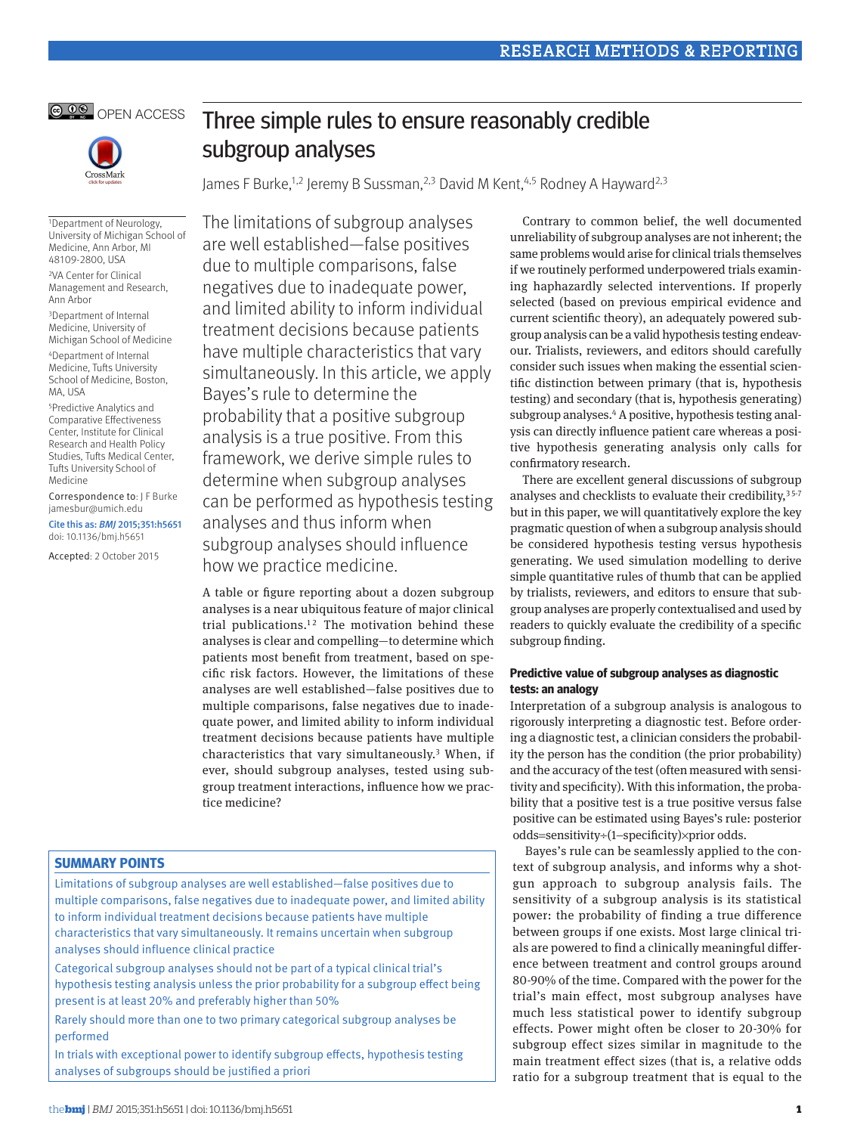



<sup>1</sup>Department of Neurology, University of Michigan School of Medicine, Ann Arbor, MI 48109-2800, USA

2VA Center for Clinical Management and Research, Ann Arbor

3Department of Internal Medicine, University of Michigan School of Medicine

4Department of Internal Medicine, Tufts University School of Medicine, Boston, MA, USA

5Predictive Analytics and Comparative Effectiveness Center, Institute for Clinical Research and Health Policy Studies, Tufts Medical Center, Tufts University School of Medicine

Correspondence to: J F Burke jamesbur@umich.edu

Cite this as: *BMJ* 2015;351:h5651 doi: 10.1136/bmj.h5651

Accepted: 2 October 2015

Three simple rules to ensure reasonably credible subgroup analyses

James F Burke,<sup>1,2</sup> Jeremy B Sussman,<sup>2,3</sup> David M Kent,<sup>4,5</sup> Rodney A Hayward<sup>2,3</sup>

The limitations of subgroup analyses are well established—false positives due to multiple comparisons, false negatives due to inadequate power, and limited ability to inform individual treatment decisions because patients have multiple characteristics that vary simultaneously. In this article, we apply Bayes's rule to determine the probability that a positive subgroup analysis is a true positive. From this framework, we derive simple rules to determine when subgroup analyses can be performed as hypothesis testing analyses and thus inform when subgroup analyses should influence how we practice medicine.

A table or figure reporting about a dozen subgroup analyses is a near ubiquitous feature of major clinical trial publications. $12$  The motivation behind these analyses is clear and compelling—to determine which patients most benefit from treatment, based on specific risk factors. However, the limitations of these analyses are well established—false positives due to multiple comparisons, false negatives due to inadequate power, and limited ability to inform individual treatment decisions because patients have multiple characteristics that vary simultaneously.3 When, if ever, should subgroup analyses, tested using subgroup treatment interactions, influence how we practice medicine?

# **Summary points**

Limitations of subgroup analyses are well established—false positives due to multiple comparisons, false negatives due to inadequate power, and limited ability to inform individual treatment decisions because patients have multiple characteristics that vary simultaneously. It remains uncertain when subgroup analyses should influence clinical practice

Categorical subgroup analyses should not be part of a typical clinical trial's hypothesis testing analysis unless the prior probability for a subgroup effect being present is at least 20% and preferably higher than 50%

Rarely should more than one to two primary categorical subgroup analyses be performed

In trials with exceptional power to identify subgroup effects, hypothesis testing analyses of subgroups should be justified a priori

Contrary to common belief, the well documented unreliability of subgroup analyses are not inherent; the same problems would arise for clinical trials themselves if we routinely performed underpowered trials examining haphazardly selected interventions. If properly selected (based on previous empirical evidence and current scientific theory), an adequately powered subgroup analysis can be a valid hypothesis testing endeavour. Trialists, reviewers, and editors should carefully consider such issues when making the essential scientific distinction between primary (that is, hypothesis testing) and secondary (that is, hypothesis generating) subgroup analyses.4 A positive, hypothesis testing analysis can directly influence patient care whereas a positive hypothesis generating analysis only calls for confirmatory research.

There are excellent general discussions of subgroup analyses and checklists to evaluate their credibility, 35-7 but in this paper, we will quantitatively explore the key pragmatic question of when a subgroup analysis should be considered hypothesis testing versus hypothesis generating. We used simulation modelling to derive simple quantitative rules of thumb that can be applied by trialists, reviewers, and editors to ensure that subgroup analyses are properly contextualised and used by readers to quickly evaluate the credibility of a specific subgroup finding.

# **Predictive value of subgroup analyses as diagnostic tests: an analogy**

Interpretation of a subgroup analysis is analogous to rigorously interpreting a diagnostic test. Before ordering a diagnostic test, a clinician considers the probability the person has the condition (the prior probability) and the accuracy of the test (often measured with sensitivity and specificity). With this information, the probability that a positive test is a true positive versus false positive can be estimated using Bayes's rule: posterior odds=sensitivity÷(1−specificity)×prior odds.

Bayes's rule can be seamlessly applied to the context of subgroup analysis, and informs why a shotgun approach to subgroup analysis fails. The sensitivity of a subgroup analysis is its statistical power: the probability of finding a true difference between groups if one exists. Most large clinical trials are powered to find a clinically meaningful difference between treatment and control groups around 80-90% of the time. Compared with the power for the trial's main effect, most subgroup analyses have much less statistical power to identify subgroup effects. Power might often be closer to 20-30% for subgroup effect sizes similar in magnitude to the main treatment effect sizes (that is, a relative odds ratio for a subgroup treatment that is equal to the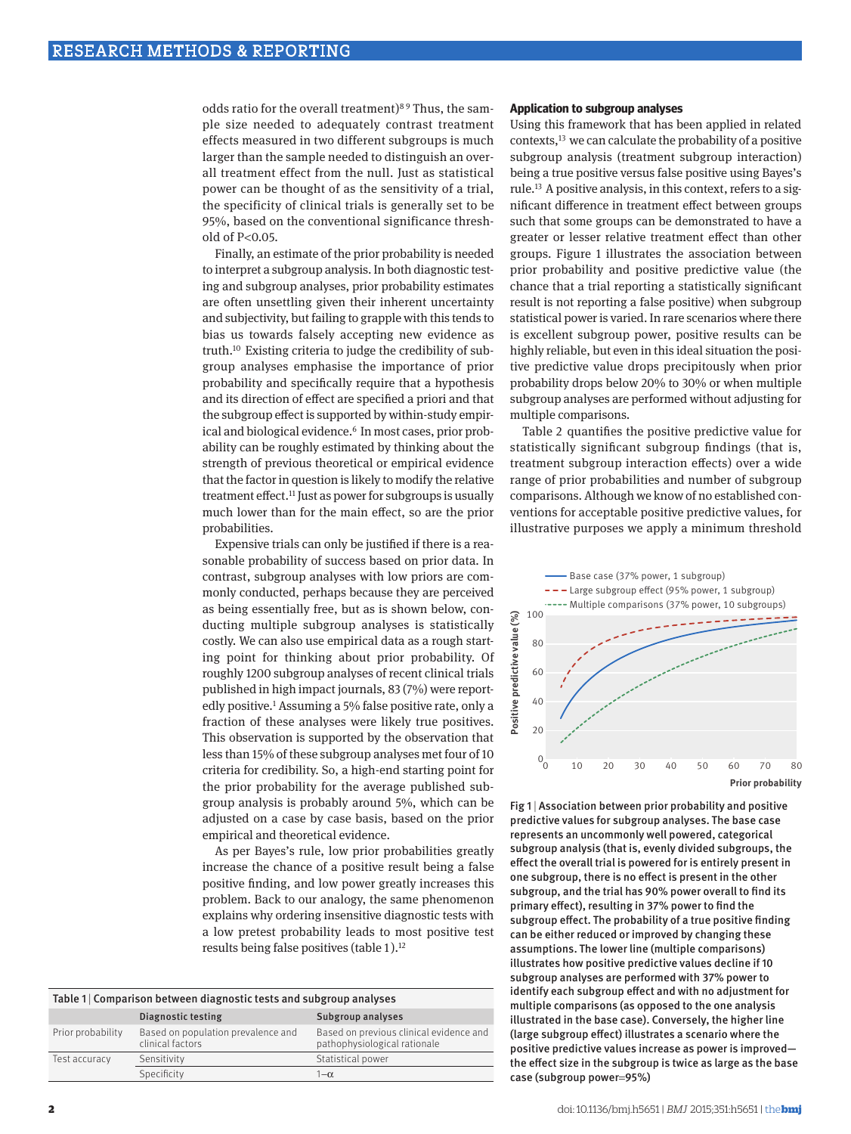odds ratio for the overall treatment)<sup>89</sup> Thus, the sample size needed to adequately contrast treatment effects measured in two different subgroups is much larger than the sample needed to distinguish an overall treatment effect from the null. Just as statistical power can be thought of as the sensitivity of a trial, the specificity of clinical trials is generally set to be 95%, based on the conventional significance threshold of  $P< 0.05$ .

Finally, an estimate of the prior probability is needed to interpret a subgroup analysis. In both diagnostic testing and subgroup analyses, prior probability estimates are often unsettling given their inherent uncertainty and subjectivity, but failing to grapple with this tends to bias us towards falsely accepting new evidence as truth.10 Existing criteria to judge the credibility of subgroup analyses emphasise the importance of prior probability and specifically require that a hypothesis and its direction of effect are specified a priori and that the subgroup effect is supported by within-study empirical and biological evidence.<sup>6</sup> In most cases, prior probability can be roughly estimated by thinking about the strength of previous theoretical or empirical evidence that the factor in question is likely to modify the relative treatment effect.11 Just as power for subgroups is usually much lower than for the main effect, so are the prior probabilities.

Expensive trials can only be justified if there is a reasonable probability of success based on prior data. In contrast, subgroup analyses with low priors are commonly conducted, perhaps because they are perceived as being essentially free, but as is shown below, conducting multiple subgroup analyses is statistically costly. We can also use empirical data as a rough starting point for thinking about prior probability. Of roughly 1200 subgroup analyses of recent clinical trials published in high impact journals, 83 (7%) were reportedly positive.<sup>1</sup> Assuming a 5% false positive rate, only a fraction of these analyses were likely true positives. This observation is supported by the observation that less than 15% of these subgroup analyses met four of 10 criteria for credibility. So, a high-end starting point for the prior probability for the average published subgroup analysis is probably around 5%, which can be adjusted on a case by case basis, based on the prior empirical and theoretical evidence.

As per Bayes's rule, low prior probabilities greatly increase the chance of a positive result being a false positive finding, and low power greatly increases this problem. Back to our analogy, the same phenomenon explains why ordering insensitive diagnostic tests with a low pretest probability leads to most positive test results being false positives (table 1).<sup>12</sup>

| Table 1   Comparison between diagnostic tests and subgroup analyses |                                                        |                                                                         |  |  |  |  |
|---------------------------------------------------------------------|--------------------------------------------------------|-------------------------------------------------------------------------|--|--|--|--|
|                                                                     | Diagnostic testing                                     | Subgroup analyses                                                       |  |  |  |  |
| Prior probability                                                   | Based on population prevalence and<br>clinical factors | Based on previous clinical evidence and<br>pathophysiological rationale |  |  |  |  |
| Test accuracy                                                       | Sensitivity                                            | Statistical power                                                       |  |  |  |  |
|                                                                     | Specificity                                            | $1-\alpha$                                                              |  |  |  |  |

#### **Application to subgroup analyses**

Using this framework that has been applied in related contexts,13 we can calculate the probability of a positive subgroup analysis (treatment subgroup interaction) being a true positive versus false positive using Bayes's rule.13 A positive analysis, in this context, refers to a significant difference in treatment effect between groups such that some groups can be demonstrated to have a greater or lesser relative treatment effect than other groups. Figure 1 illustrates the association between prior probability and positive predictive value (the chance that a trial reporting a statistically significant result is not reporting a false positive) when subgroup statistical power is varied. In rare scenarios where there is excellent subgroup power, positive results can be highly reliable, but even in this ideal situation the positive predictive value drops precipitously when prior probability drops below 20% to 30% or when multiple subgroup analyses are performed without adjusting for multiple comparisons.

Table 2 quantifies the positive predictive value for statistically significant subgroup findings (that is, treatment subgroup interaction effects) over a wide range of prior probabilities and number of subgroup comparisons. Although we know of no established conventions for acceptable positive predictive values, for illustrative purposes we apply a minimum threshold



Fig 1 | Association between prior probability and positive predictive values for subgroup analyses. The base case represents an uncommonly well powered, categorical subgroup analysis (that is, evenly divided subgroups, the effect the overall trial is powered for is entirely present in one subgroup, there is no effect is present in the other subgroup, and the trial has 90% power overall to find its primary effect), resulting in 37% power to find the subgroup effect. The probability of a true positive finding can be either reduced or improved by changing these assumptions. The lower line (multiple comparisons) illustrates how positive predictive values decline if 10 subgroup analyses are performed with 37% power to identify each subgroup effect and with no adjustment for multiple comparisons (as opposed to the one analysis illustrated in the base case). Conversely, the higher line (large subgroup effect) illustrates a scenario where the positive predictive values increase as power is improved the effect size in the subgroup is twice as large as the base case (subgroup power=95%)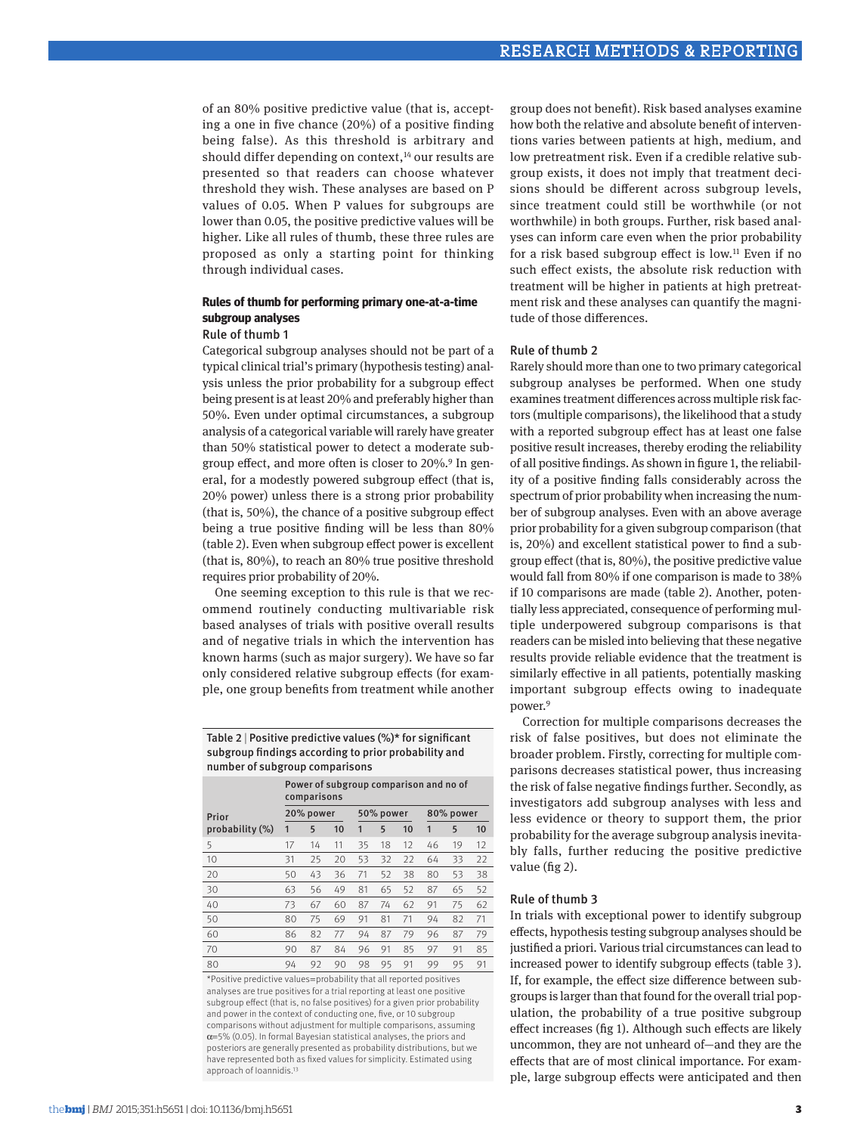of an 80% positive predictive value (that is, accepting a one in five chance (20%) of a positive finding being false). As this threshold is arbitrary and should differ depending on context, $14$  our results are presented so that readers can choose whatever threshold they wish. These analyses are based on P values of 0.05. When P values for subgroups are lower than 0.05, the positive predictive values will be higher. Like all rules of thumb, these three rules are proposed as only a starting point for thinking through individual cases.

# **Rules of thumb for performing primary one-at-a-time subgroup analyses**

#### Rule of thumb 1

Categorical subgroup analyses should not be part of a typical clinical trial's primary (hypothesis testing) analysis unless the prior probability for a subgroup effect being present is at least 20% and preferably higher than 50%. Even under optimal circumstances, a subgroup analysis of a categorical variable will rarely have greater than 50% statistical power to detect a moderate subgroup effect, and more often is closer to 20%.9 In general, for a modestly powered subgroup effect (that is, 20% power) unless there is a strong prior probability (that is, 50%), the chance of a positive subgroup effect being a true positive finding will be less than 80% (table 2). Even when subgroup effect power is excellent (that is, 80%), to reach an 80% true positive threshold requires prior probability of 20%.

One seeming exception to this rule is that we recommend routinely conducting multivariable risk based analyses of trials with positive overall results and of negative trials in which the intervention has known harms (such as major surgery). We have so far only considered relative subgroup effects (for example, one group benefits from treatment while another

Table 2 | Positive predictive values (%)\* for significant subgroup findings according to prior probability and number of subgroup comparisons

|                 | Power of subgroup comparison and no of<br>comparisons |    |           |              |    |           |              |    |    |
|-----------------|-------------------------------------------------------|----|-----------|--------------|----|-----------|--------------|----|----|
| Prior           | 20% power                                             |    | 50% power |              |    | 80% power |              |    |    |
| probability (%) | 1                                                     | 5  | 10        | $\mathbf{1}$ | 5  | 10        | $\mathbf{1}$ | 5  | 10 |
| 5               | 17                                                    | 14 | 11        | 35           | 18 | 12        | 46           | 19 | 12 |
| 10              | 31                                                    | 25 | 20        | 53           | 32 | 22        | 64           | 33 | 22 |
| 20              | 50                                                    | 43 | 36        | 71           | 52 | 38        | 80           | 53 | 38 |
| 30              | 63                                                    | 56 | 49        | 81           | 65 | 52        | 87           | 65 | 52 |
| 40              | 73                                                    | 67 | 60        | 87           | 74 | 62        | 91           | 75 | 62 |
| 50              | 80                                                    | 75 | 69        | 91           | 81 | 71        | 94           | 82 | 71 |
| 60              | 86                                                    | 82 | 77        | 94           | 87 | 79        | 96           | 87 | 79 |
| 70              | 90                                                    | 87 | 84        | 96           | 91 | 85        | 97           | 91 | 85 |
| 80              | 94                                                    | 92 | 90        | 98           | 95 | 91        | 99           | 95 | 91 |

\*Positive predictive values=probability that all reported positives analyses are true positives for a trial reporting at least one positive subgroup effect (that is, no false positives) for a given prior probability and power in the context of conducting one, five, or 10 subgroup comparisons without adjustment for multiple comparisons, assuming  $\alpha$ =5% (0.05). In formal Bayesian statistical analyses, the priors and posteriors are generally presented as probability distributions, but we have represented both as fixed values for simplicity. Estimated using approach of Ioannidis.13

group does not benefit). Risk based analyses examine how both the relative and absolute benefit of interventions varies between patients at high, medium, and low pretreatment risk. Even if a credible relative subgroup exists, it does not imply that treatment decisions should be different across subgroup levels, since treatment could still be worthwhile (or not worthwhile) in both groups. Further, risk based analyses can inform care even when the prior probability for a risk based subgroup effect is low.11 Even if no such effect exists, the absolute risk reduction with treatment will be higher in patients at high pretreatment risk and these analyses can quantify the magnitude of those differences.

### Rule of thumb 2

Rarely should more than one to two primary categorical subgroup analyses be performed. When one study examines treatment differences across multiple risk factors (multiple comparisons), the likelihood that a study with a reported subgroup effect has at least one false positive result increases, thereby eroding the reliability of all positive findings. As shown in figure 1, the reliability of a positive finding falls considerably across the spectrum of prior probability when increasing the number of subgroup analyses. Even with an above average prior probability for a given subgroup comparison (that is, 20%) and excellent statistical power to find a subgroup effect (that is, 80%), the positive predictive value would fall from 80% if one comparison is made to 38% if 10 comparisons are made (table 2). Another, potentially less appreciated, consequence of performing multiple underpowered subgroup comparisons is that readers can be misled into believing that these negative results provide reliable evidence that the treatment is similarly effective in all patients, potentially masking important subgroup effects owing to inadequate power.<sup>9</sup>

Correction for multiple comparisons decreases the risk of false positives, but does not eliminate the broader problem. Firstly, correcting for multiple comparisons decreases statistical power, thus increasing the risk of false negative findings further. Secondly, as investigators add subgroup analyses with less and less evidence or theory to support them, the prior probability for the average subgroup analysis inevitably falls, further reducing the positive predictive value (fig 2).

### Rule of thumb 3

In trials with exceptional power to identify subgroup effects, hypothesis testing subgroup analyses should be justified a priori. Various trial circumstances can lead to increased power to identify subgroup effects (table 3 ). If, for example, the effect size difference between subgroups is larger than that found for the overall trial population, the probability of a true positive subgroup effect increases (fig 1). Although such effects are likely uncommon, they are not unheard of—and they are the effects that are of most clinical importance. For example, large subgroup effects were anticipated and then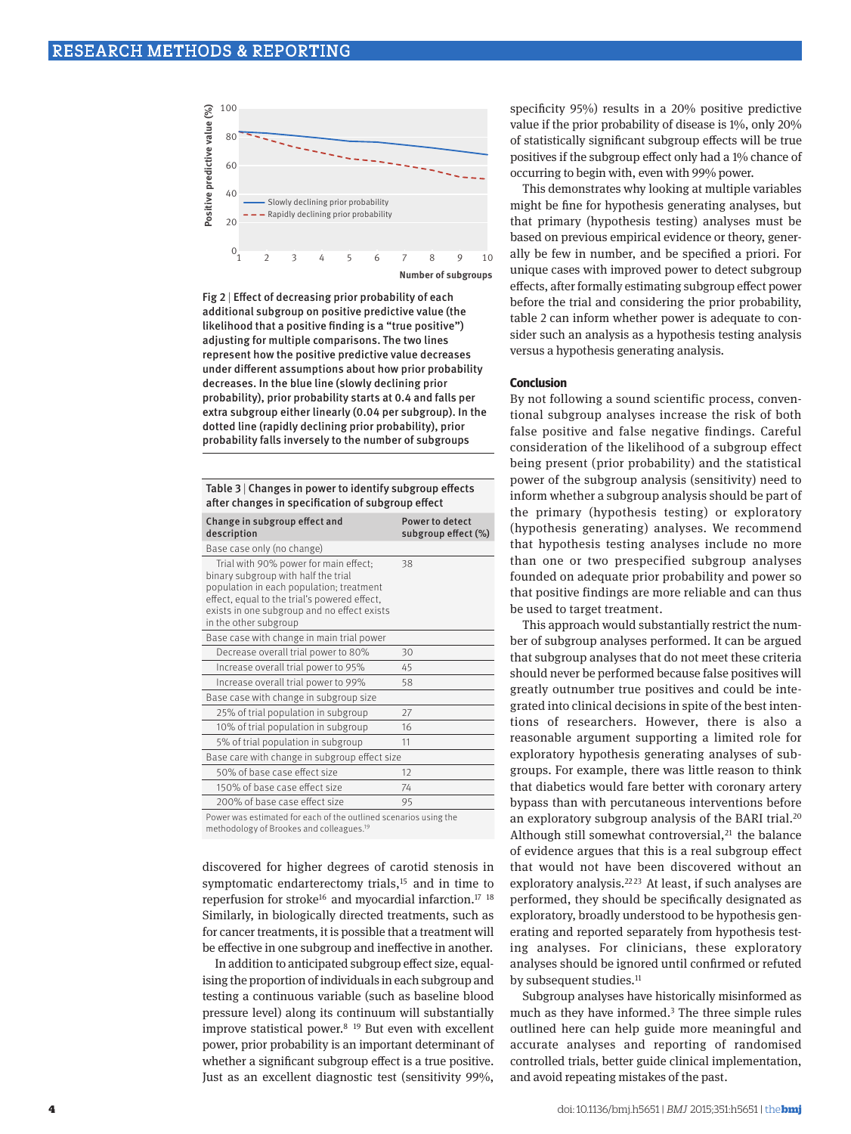

Fig 2 | Effect of decreasing prior probability of each additional subgroup on positive predictive value (the likelihood that a positive finding is a "true positive") adjusting for multiple comparisons. The two lines represent how the positive predictive value decreases under different assumptions about how prior probability decreases. In the blue line (slowly declining prior probability), prior probability starts at 0.4 and falls per extra subgroup either linearly (0.04 per subgroup). In the dotted line (rapidly declining prior probability), prior probability falls inversely to the number of subgroups

| Table 3   Changes in power to identify subgroup effects<br>after changes in specification of subgroup effect                                                                                                                                     |                                        |  |  |  |  |  |
|--------------------------------------------------------------------------------------------------------------------------------------------------------------------------------------------------------------------------------------------------|----------------------------------------|--|--|--|--|--|
| Change in subgroup effect and<br>description                                                                                                                                                                                                     | Power to detect<br>subgroup effect (%) |  |  |  |  |  |
| Base case only (no change)                                                                                                                                                                                                                       |                                        |  |  |  |  |  |
| Trial with 90% power for main effect;<br>binary subgroup with half the trial<br>population in each population; treatment<br>effect, equal to the trial's powered effect,<br>exists in one subgroup and no effect exists<br>in the other subgroup | 38                                     |  |  |  |  |  |
| Base case with change in main trial power                                                                                                                                                                                                        |                                        |  |  |  |  |  |
| Decrease overall trial power to 80%                                                                                                                                                                                                              | 30                                     |  |  |  |  |  |
| Increase overall trial power to 95%                                                                                                                                                                                                              | 45                                     |  |  |  |  |  |
| Increase overall trial power to 99%                                                                                                                                                                                                              | 58                                     |  |  |  |  |  |
| Base case with change in subgroup size                                                                                                                                                                                                           |                                        |  |  |  |  |  |
| 25% of trial population in subgroup                                                                                                                                                                                                              | 27                                     |  |  |  |  |  |
| 10% of trial population in subgroup                                                                                                                                                                                                              | 16                                     |  |  |  |  |  |
| 5% of trial population in subgroup                                                                                                                                                                                                               | 11                                     |  |  |  |  |  |
| Base care with change in subgroup effect size                                                                                                                                                                                                    |                                        |  |  |  |  |  |
| 50% of base case effect size                                                                                                                                                                                                                     | 12                                     |  |  |  |  |  |
| 150% of base case effect size                                                                                                                                                                                                                    | 74                                     |  |  |  |  |  |
| 200% of base case effect size                                                                                                                                                                                                                    | 95                                     |  |  |  |  |  |

Power was estimated for each of the outlined scenarios using the methodology of Brookes and colleagues.19

discovered for higher degrees of carotid stenosis in symptomatic endarterectomy trials,<sup>15</sup> and in time to reperfusion for stroke<sup>16</sup> and myocardial infarction.<sup>17</sup> <sup>18</sup> Similarly, in biologically directed treatments, such as for cancer treatments, it is possible that a treatment will be effective in one subgroup and ineffective in another.

In addition to anticipated subgroup effect size, equalising the proportion of individuals in each subgroup and testing a continuous variable (such as baseline blood pressure level) along its continuum will substantially improve statistical power.<sup>8 19</sup> But even with excellent power, prior probability is an important determinant of whether a significant subgroup effect is a true positive. Just as an excellent diagnostic test (sensitivity 99%,

specificity 95%) results in a 20% positive predictive value if the prior probability of disease is 1%, only 20% of statistically significant subgroup effects will be true positives if the subgroup effect only had a 1% chance of occurring to begin with, even with 99% power.

This demonstrates why looking at multiple variables might be fine for hypothesis generating analyses, but that primary (hypothesis testing) analyses must be based on previous empirical evidence or theory, generally be few in number, and be specified a priori. For unique cases with improved power to detect subgroup effects, after formally estimating subgroup effect power before the trial and considering the prior probability, table 2 can inform whether power is adequate to consider such an analysis as a hypothesis testing analysis versus a hypothesis generating analysis.

### **Conclusion**

By not following a sound scientific process, conventional subgroup analyses increase the risk of both false positive and false negative findings. Careful consideration of the likelihood of a subgroup effect being present (prior probability) and the statistical power of the subgroup analysis (sensitivity) need to inform whether a subgroup analysis should be part of the primary (hypothesis testing) or exploratory (hypothesis generating) analyses. We recommend that hypothesis testing analyses include no more than one or two prespecified subgroup analyses founded on adequate prior probability and power so that positive findings are more reliable and can thus be used to target treatment.

This approach would substantially restrict the number of subgroup analyses performed. It can be argued that subgroup analyses that do not meet these criteria should never be performed because false positives will greatly outnumber true positives and could be integrated into clinical decisions in spite of the best intentions of researchers. However, there is also a reasonable argument supporting a limited role for exploratory hypothesis generating analyses of subgroups. For example, there was little reason to think that diabetics would fare better with coronary artery bypass than with percutaneous interventions before an exploratory subgroup analysis of the BARI trial.20 Although still somewhat controversial, $21$  the balance of evidence argues that this is a real subgroup effect that would not have been discovered without an exploratory analysis.<sup>2223</sup> At least, if such analyses are performed, they should be specifically designated as exploratory, broadly understood to be hypothesis generating and reported separately from hypothesis testing analyses. For clinicians, these exploratory analyses should be ignored until confirmed or refuted by subsequent studies.<sup>11</sup>

Subgroup analyses have historically misinformed as much as they have informed.3 The three simple rules outlined here can help guide more meaningful and accurate analyses and reporting of randomised controlled trials, better guide clinical implementation, and avoid repeating mistakes of the past.